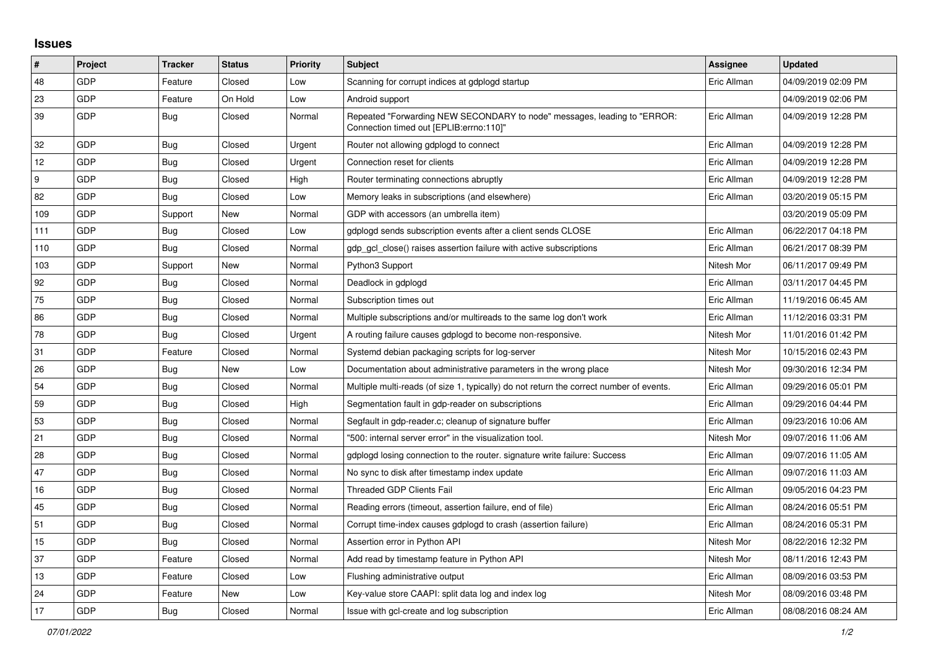## **Issues**

| #                | Project    | <b>Tracker</b> | <b>Status</b> | Priority | <b>Subject</b>                                                                                                      | <b>Assignee</b> | <b>Updated</b>      |
|------------------|------------|----------------|---------------|----------|---------------------------------------------------------------------------------------------------------------------|-----------------|---------------------|
| 48               | GDP        | Feature        | Closed        | Low      | Scanning for corrupt indices at gdplogd startup                                                                     | Eric Allman     | 04/09/2019 02:09 PM |
| 23               | GDP        | Feature        | On Hold       | Low      | Android support                                                                                                     |                 | 04/09/2019 02:06 PM |
| 39               | GDP        | <b>Bug</b>     | Closed        | Normal   | Repeated "Forwarding NEW SECONDARY to node" messages, leading to "ERROR:<br>Connection timed out [EPLIB:errno:110]" | Eric Allman     | 04/09/2019 12:28 PM |
| 32               | GDP        | Bug            | Closed        | Urgent   | Router not allowing gdplogd to connect                                                                              | Eric Allman     | 04/09/2019 12:28 PM |
| 12               | GDP        | <b>Bug</b>     | Closed        | Urgent   | Connection reset for clients                                                                                        | Eric Allman     | 04/09/2019 12:28 PM |
| $\boldsymbol{9}$ | GDP        | <b>Bug</b>     | Closed        | High     | Router terminating connections abruptly                                                                             | Eric Allman     | 04/09/2019 12:28 PM |
| 82               | GDP        | Bug            | Closed        | Low      | Memory leaks in subscriptions (and elsewhere)                                                                       | Eric Allman     | 03/20/2019 05:15 PM |
| 109              | GDP        | Support        | New           | Normal   | GDP with accessors (an umbrella item)                                                                               |                 | 03/20/2019 05:09 PM |
| 111              | GDP        | Bug            | Closed        | Low      | gdplogd sends subscription events after a client sends CLOSE                                                        | Eric Allman     | 06/22/2017 04:18 PM |
| 110              | GDP        | Bug            | Closed        | Normal   | gdp gcl close() raises assertion failure with active subscriptions                                                  | Eric Allman     | 06/21/2017 08:39 PM |
| 103              | GDP        | Support        | New           | Normal   | Python3 Support                                                                                                     | Nitesh Mor      | 06/11/2017 09:49 PM |
| 92               | GDP        | Bug            | Closed        | Normal   | Deadlock in gdplogd                                                                                                 | Eric Allman     | 03/11/2017 04:45 PM |
| 75               | GDP        | Bug            | Closed        | Normal   | Subscription times out                                                                                              | Eric Allman     | 11/19/2016 06:45 AM |
| 86               | GDP        | Bug            | Closed        | Normal   | Multiple subscriptions and/or multireads to the same log don't work                                                 | Eric Allman     | 11/12/2016 03:31 PM |
| 78               | GDP        | Bug            | Closed        | Urgent   | A routing failure causes gdplogd to become non-responsive.                                                          | Nitesh Mor      | 11/01/2016 01:42 PM |
| 31               | GDP        | Feature        | Closed        | Normal   | Systemd debian packaging scripts for log-server                                                                     | Nitesh Mor      | 10/15/2016 02:43 PM |
| 26               | GDP        | Bug            | New           | Low      | Documentation about administrative parameters in the wrong place                                                    | Nitesh Mor      | 09/30/2016 12:34 PM |
| 54               | GDP        | Bug            | Closed        | Normal   | Multiple multi-reads (of size 1, typically) do not return the correct number of events.                             | Eric Allman     | 09/29/2016 05:01 PM |
| 59               | GDP        | <b>Bug</b>     | Closed        | High     | Segmentation fault in gdp-reader on subscriptions                                                                   | Eric Allman     | 09/29/2016 04:44 PM |
| 53               | GDP        | Bug            | Closed        | Normal   | Segfault in gdp-reader.c; cleanup of signature buffer                                                               | Eric Allman     | 09/23/2016 10:06 AM |
| 21               | GDP        | <b>Bug</b>     | Closed        | Normal   | '500: internal server error" in the visualization tool.                                                             | Nitesh Mor      | 09/07/2016 11:06 AM |
| 28               | <b>GDP</b> | Bug            | Closed        | Normal   | gdplogd losing connection to the router, signature write failure: Success                                           | Eric Allman     | 09/07/2016 11:05 AM |
| 47               | GDP        | Bug            | Closed        | Normal   | No sync to disk after timestamp index update                                                                        | Eric Allman     | 09/07/2016 11:03 AM |
| 16               | GDP        | Bug            | Closed        | Normal   | <b>Threaded GDP Clients Fail</b>                                                                                    | Eric Allman     | 09/05/2016 04:23 PM |
| 45               | GDP        | Bug            | Closed        | Normal   | Reading errors (timeout, assertion failure, end of file)                                                            | Eric Allman     | 08/24/2016 05:51 PM |
| 51               | GDP        | <b>Bug</b>     | Closed        | Normal   | Corrupt time-index causes gdplogd to crash (assertion failure)                                                      | Eric Allman     | 08/24/2016 05:31 PM |
| 15               | GDP        | Bug            | Closed        | Normal   | Assertion error in Python API                                                                                       | Nitesh Mor      | 08/22/2016 12:32 PM |
| 37               | GDP        | Feature        | Closed        | Normal   | Add read by timestamp feature in Python API                                                                         | Nitesh Mor      | 08/11/2016 12:43 PM |
| 13               | <b>GDP</b> | Feature        | Closed        | Low      | Flushing administrative output                                                                                      | Eric Allman     | 08/09/2016 03:53 PM |
| 24               | GDP        | Feature        | New           | Low      | Key-value store CAAPI: split data log and index log                                                                 | Nitesh Mor      | 08/09/2016 03:48 PM |
| 17               | GDP        | Bug            | Closed        | Normal   | Issue with gcl-create and log subscription                                                                          | Eric Allman     | 08/08/2016 08:24 AM |